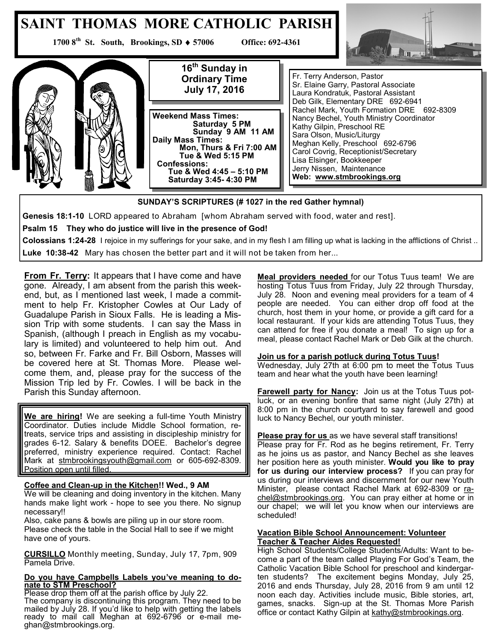#### **SAINT THOMAS MORE CATHOLIC PARISH 1700 8<sup>th</sup> St. South, Brookings, SD ♦ 57006 Office: 692-4361** Im. **16th Sunday in**  Fr. Terry Anderson, Pastor **Ordinary Time**  Sr. Elaine Garry, Pastoral Associate **July 17, 2016** Laura Kondratuk, Pastoral Assistant Deb Gilk, Elementary DRE 692-6941 Rachel Mark, Youth Formation DRE 692-8309 **Weekend Mass Times:**  Nancy Bechel, Youth Ministry Coordinator  **Saturday 5 PM** Kathy Gilpin, Preschool RE  **Sunday 9 AM 11 AM** Sara Olson, Music/Liturgy **Daily Mass Times:** Meghan Kelly, Preschool 692-6796  **Mon, Thurs & Fri 7:00 AM** Carol Covrig, Receptionist/Secretary

**SUNDAY'S SCRIPTURES (# 1027 in the red Gather hymnal)**

**Colossians 1:24-28** I rejoice in my sufferings for your sake, and in my flesh I am filling up what is lacking in the afflictions of Christ ..

**Genesis 18:1-10** LORD appeared to Abraham [whom Abraham served with food, water and rest].

 **Tue & Wed 5:15 PM**

 **Tue & Wed 4:45 – 5:10 PM Saturday 3:45- 4:30 PM** 

**Luke 10:38-42** Mary has chosen the better part and it will not be taken from her...

 **Confessions:** 

**From Fr. Terry:** It appears that I have come and have gone. Already, I am absent from the parish this weekend, but, as I mentioned last week, I made a commitment to help Fr. Kristopher Cowles at Our Lady of Guadalupe Parish in Sioux Falls. He is leading a Mission Trip with some students. I can say the Mass in Spanish, (although I preach in English as my vocabulary is limited) and volunteered to help him out. And so, between Fr. Farke and Fr. Bill Osborn, Masses will be covered here at St. Thomas More. Please welcome them, and, please pray for the success of the Mission Trip led by Fr. Cowles. I will be back in the Parish this Sunday afternoon.

**Psalm 15 They who do justice will live in the presence of God!**

**We are hiring!** We are seeking a full-time Youth Ministry Coordinator. Duties include Middle School formation, retreats, service trips and assisting in discipleship ministry for grades 6-12. Salary & benefits DOEE. Bachelor's degree preferred, ministry experience required. Contact: Rachel Mark at [stmbrookingsyouth@gmail.com](mailto:stmbrookingsyouth@gmail.com) or 605-692-8309. Position open until filled.

### **Coffee and Clean-up in the Kitchen!! Wed., 9 AM**

We will be cleaning and doing inventory in the kitchen. Many hands make light work - hope to see you there. No signup necessary!!

Also, cake pans & bowls are piling up in our store room. Please check the table in the Social Hall to see if we might have one of yours.

**CURSILLO** Monthly meeting, Sunday, July 17, 7pm, 909 Pamela Drive.

### **Do you have Campbells Labels you've meaning to donate to STM Preschool?**

Please drop them off at the parish office by July 22. The company is discontinuing this program. They need to be mailed by July 28. If you'd like to help with getting the labels ready to mail call Meghan at 692-6796 or e-mail meghan@stmbrookings.org.

**Meal providers needed** for our Totus Tuus team! We are hosting Totus Tuus from Friday, July 22 through Thursday, July 28. Noon and evening meal providers for a team of 4 people are needed. You can either drop off food at the church, host them in your home, or provide a gift card for a local restaurant. If your kids are attending Totus Tuus, they can attend for free if you donate a meal! To sign up for a meal, please contact Rachel Mark or Deb Gilk at the church.

### **Join us for a parish potluck during Totus Tuus!**

Lisa Elsinger, Bookkeeper Jerry Nissen, Maintenance **Web: www.stmbrookings.org**

Wednesday, July 27th at 6:00 pm to meet the Totus Tuus team and hear what the youth have been learning!

**Farewell party for Nancy:** Join us at the Totus Tuus potluck, or an evening bonfire that same night (July 27th) at 8:00 pm in the church courtyard to say farewell and good luck to Nancy Bechel, our youth minister.

**Please pray for us** as we have several staff transitions! Please pray for Fr. Rod as he begins retirement, Fr. Terry as he joins us as pastor, and Nancy Bechel as she leaves her position here as youth minister. **Would you like to pray for us during our interview process?** If you can pray for us during our interviews and discernment for our new Youth Minister, please contact Rachel Mark at 692-8309 or [ra](mailto:rachel@stmbrookings.org)[chel@stmbrookings.org.](mailto:rachel@stmbrookings.org) You can pray either at home or in our chapel; we will let you know when our interviews are scheduled!

### **Vacation Bible School Announcement: Volunteer Teacher & Teacher Aides Requested!**

High School Students/College Students/Adults: Want to become a part of the team called Playing For God's Team, the Catholic Vacation Bible School for preschool and kindergarten students? The excitement begins Monday, July 25, 2016 and ends Thursday, July 28, 2016 from 9 am until 12 noon each day. Activities include music, Bible stories, art, games, snacks. Sign-up at the St. Thomas More Parish office or contact Kathy Gilpin at [kathy@stmbrookings.org.](mailto:kathy@stmbrookings.org)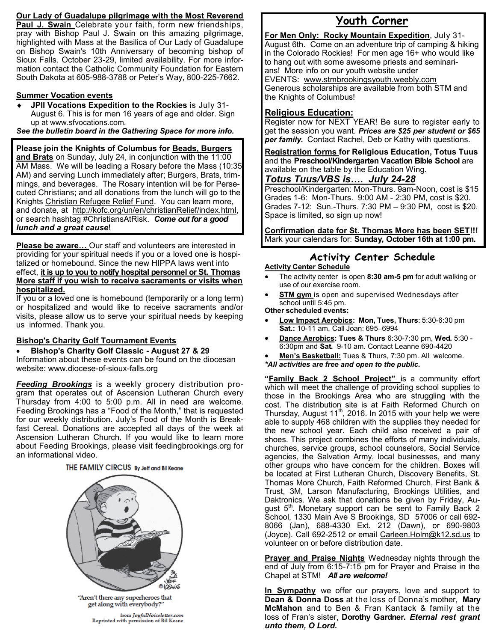## **Our Lady of Guadalupe pilgrimage with the Most Reverend**

**Paul J. Swain** Celebrate your faith, form new friendships, pray with Bishop Paul J. Swain on this amazing pilgrimage, highlighted with Mass at the Basilica of Our Lady of Guadalupe on Bishop Swain's 10th Anniversary of becoming bishop of Sioux Falls. October 23-29, limited availability. For more information contact the Catholic Community Foundation for Eastern South Dakota at 605-988-3788 or Peter's Way, 800-225-7662.

## **Summer Vocation events**

 **JPII Vocations Expedition to the Rockies** is July 31- August 6. This is for men 16 years of age and older. Sign up at www.sfvocations.com.

*See the bulletin board in the Gathering Space for more info.*

**Please join the Knights of Columbus for Beads, Burgers and Brats** on Sunday, July 24, in conjunction with the 11:00 AM Mass. We will be leading a Rosary before the Mass (10:35 AM) and serving Lunch immediately after; Burgers, Brats, trimmings, and beverages. The Rosary intention will be for Persecuted Christians; and all donations from the lunch will go to the Knights Christian Refugee Relief Fund. You can learn more, and donate, at [http://kofc.org/un/en/christianRelief/index.html,](http://kofc.org/un/en/christianRelief/index.html)  or search hashtag #ChristiansAtRisk. *Come out for a good lunch and a great cause*!

**Please be aware…** Our staff and volunteers are interested in providing for your spiritual needs if you or a loved one is hospitalized or homebound. Since the new HIPPA laws went into effect, **it is up to you to notify hospital personnel or St. Thomas More staff if you wish to receive sacraments or visits when hospitalized.** 

If you or a loved one is homebound (temporarily or a long term) or hospitalized and would like to receive sacraments and/or visits, please allow us to serve your spiritual needs by keeping us informed. Thank you.

## **Bishop's Charity Golf Tournament Events**

**Bishop's Charity Golf Classic - August 27 & 29** 

Information about these events can be found on the diocesan website: www.diocese-of-sioux-falls.org

*Feeding Brookings* is a weekly grocery distribution program that operates out of Ascension Lutheran Church every Thursday from 4:00 to 5:00 p.m. All in need are welcome. Feeding Brookings has a "Food of the Month," that is requested for our weekly distribution. July's Food of the Month is Breakfast Cereal. Donations are accepted all days of the week at Ascension Lutheran Church. If you would like to learn more about Feeding Brookings, please visit feedingbrookings.org for an informational video.

## THE FAMILY CIRCUS By Jeff and Bil Keane



"Aren't there any superheroes that get along with everybody?'

from JoyfulNoiseletter.com Reprinted with permission of Bil Keane

# **Youth Corner**

**For Men Only: Rocky Mountain Expedition**, July 31- August 6th. Come on an adventure trip of camping & hiking in the Colorado Rockies! For men age 16+ who would like to hang out with some awesome priests and seminarians! More info on our youth website under EVENTS: [www.stmbrookingsyouth.weebly.com](http://www.stmbrookingsyouth.weebly.com) Generous scholarships are available from both STM and the Knights of Columbus!

## **Religious Education:**

Register now for NEXT YEAR! Be sure to register early to get the session you want. *Prices are \$25 per student or \$65 per family.* Contact Rachel, Deb or Kathy with questions.

**Registration forms for Religious Education, Totus Tuus**  and the **Preschool/Kindergarten Vacation Bible School** are available on the table by the Education Wing.

## *Totus Tuus/VBS is…. July 24-28*

Preschool/Kindergarten: Mon-Thurs. 9am-Noon, cost is \$15 Grades 1-6: Mon-Thurs. 9:00 AM - 2:30 PM, cost is \$20. Grades 7-12: Sun.-Thurs. 7:30 PM – 9:30 PM, cost is \$20. Space is limited, so sign up now!

**Confirmation date for St. Thomas More has been SET!!!** Mark your calendars for: **Sunday, October 16th at 1:00 pm.**

# **Activity Center Schedule**

## **Activity Center Schedule**

- The activity center is open **8:30 am-5 pm** for adult walking or use of our exercise room.
- **STM gym** is open and supervised Wednesdays after school until 5:45 pm.

## **Other scheduled events:**

- **Low Impact Aerobics: Mon, Tues, Thurs**: 5:30-6:30 pm **Sat.:** 10-11 am. Call Joan: 695–6994
- **Dance Aerobics: Tues & Thurs** 6:30-7:30 pm, **Wed.** 5:30 6:30pm and **Sat.** 9-10 am. Contact Leanne 690-4420
- **Men's Basketball:** Tues & Thurs, 7:30 pm. All welcome. *\*All activities are free and open to the public.*

**"Family Back 2 School Project"** is a community effort which will meet the challenge of providing school supplies to those in the Brookings Area who are struggling with the cost. The distribution site is at Faith Reformed Church on Thursday, August  $11^{th}$ , 2016. In 2015 with your help we were able to supply 468 children with the supplies they needed for the new school year. Each child also received a pair of shoes. This project combines the efforts of many individuals, churches, service groups, school counselors, Social Service agencies, the Salvation Army, local businesses, and many other groups who have concern for the children. Boxes will be located at First Lutheran Church, Discovery Benefits, St. Thomas More Church, Faith Reformed Church, First Bank & Trust, 3M, Larson Manufacturing, Brookings Utilities, and Daktronics. We ask that donations be given by Friday, August 5<sup>th</sup>. Monetary support can be sent to Family Back 2 School, 1330 Main Ave S Brookings, SD 57006 or call 692- 8066 (Jan), 688-4330 Ext. 212 (Dawn), or 690-9803 (Joyce). Call 692-2512 or email [Carleen.Holm@k12.sd.us](mailto:Carleen.Holm@k12.sd.us) to volunteer on or before distribution date.

**Prayer and Praise Nights** Wednesday nights through the end of July from 6:15-7:15 pm for Prayer and Praise in the Chapel at STM! *All are welcome!* 

**In Sympathy** we offer our prayers, love and support to **Dean & Donna Doss** at the loss of Donna's mother, **Mary McMahon** and to Ben & Fran Kantack & family at the loss of Fran's sister, **Dorothy Gardner.** *Eternal rest grant unto them, O Lord.*